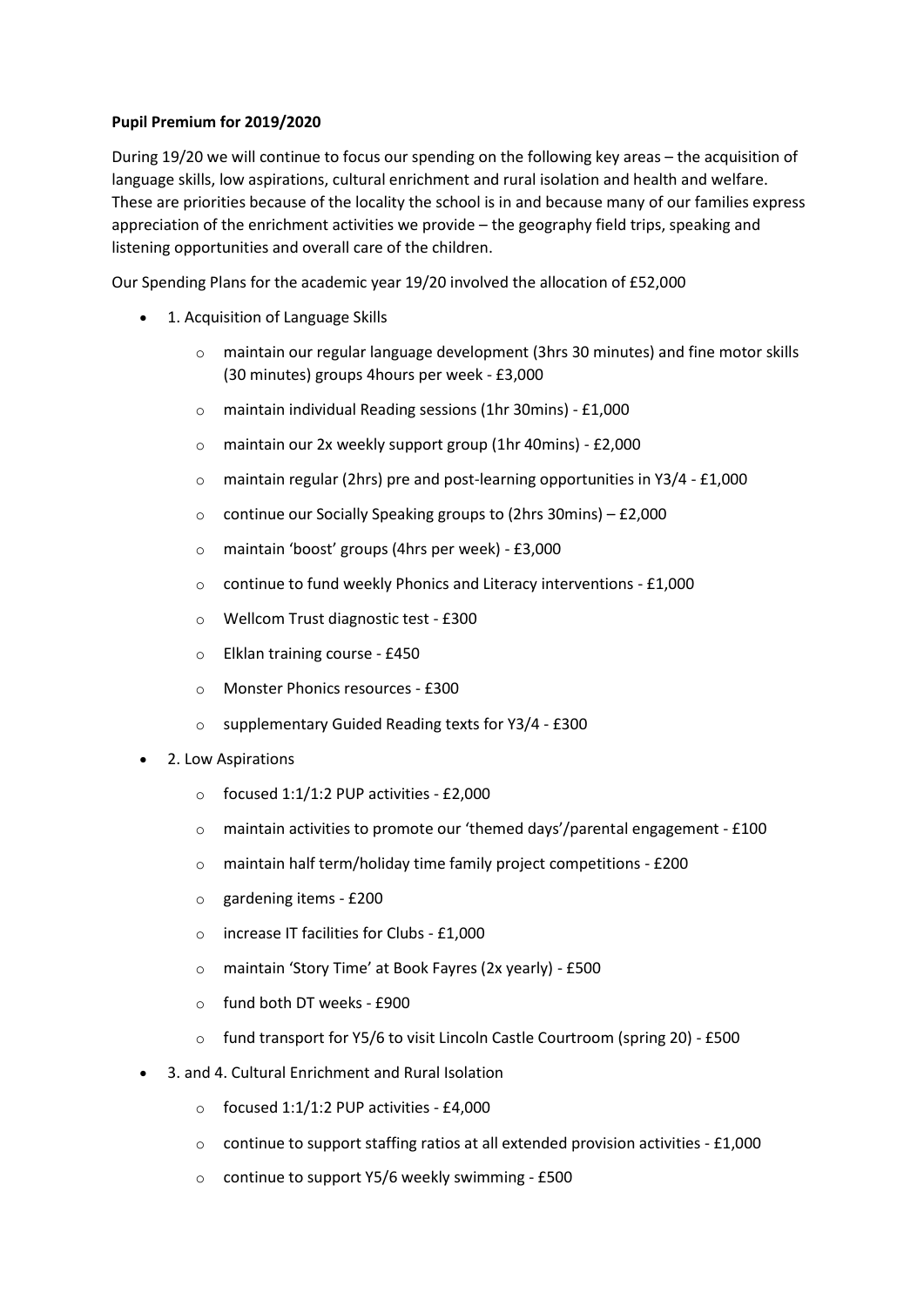## **Pupil Premium for 2019/2020**

During 19/20 we will continue to focus our spending on the following key areas – the acquisition of language skills, low aspirations, cultural enrichment and rural isolation and health and welfare. These are priorities because of the locality the school is in and because many of our families express appreciation of the enrichment activities we provide – the geography field trips, speaking and listening opportunities and overall care of the children.

Our Spending Plans for the academic year 19/20 involved the allocation of £52,000

- 1. Acquisition of Language Skills
	- $\circ$  maintain our regular language development (3hrs 30 minutes) and fine motor skills (30 minutes) groups 4hours per week - £3,000
	- o maintain individual Reading sessions (1hr 30mins) £1,000
	- o maintain our 2x weekly support group (1hr 40mins) £2,000
	- o maintain regular (2hrs) pre and post-learning opportunities in Y3/4 £1,000
	- o continue our Socially Speaking groups to (2hrs 30mins) £2,000
	- o maintain 'boost' groups (4hrs per week) £3,000
	- o continue to fund weekly Phonics and Literacy interventions £1,000
	- o Wellcom Trust diagnostic test £300
	- o Elklan training course £450
	- o Monster Phonics resources £300
	- o supplementary Guided Reading texts for Y3/4 £300
- 2. Low Aspirations
	- $\circ$  focused 1:1/1:2 PUP activities £2,000
	- o maintain activities to promote our 'themed days'/parental engagement £100
	- o maintain half term/holiday time family project competitions £200
	- o gardening items £200
	- o increase IT facilities for Clubs £1,000
	- o maintain 'Story Time' at Book Fayres (2x yearly) £500
	- o fund both DT weeks £900
	- o fund transport for Y5/6 to visit Lincoln Castle Courtroom (spring 20) £500
- 3. and 4. Cultural Enrichment and Rural Isolation
	- $\circ$  focused 1:1/1:2 PUP activities £4,000
	- o continue to support staffing ratios at all extended provision activities £1,000
	- o continue to support Y5/6 weekly swimming £500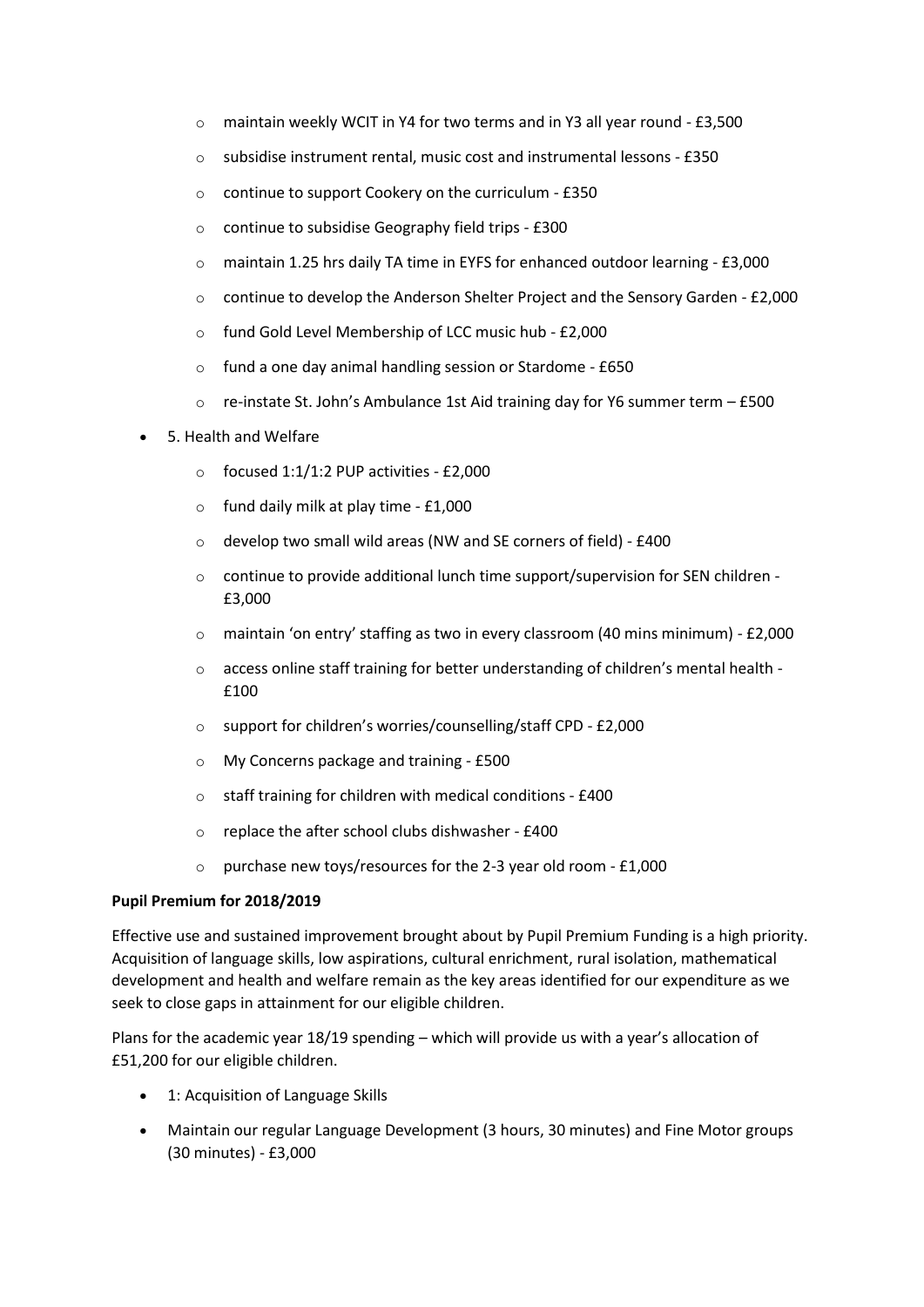- $\circ$  maintain weekly WCIT in Y4 for two terms and in Y3 all year round £3,500
- o subsidise instrument rental, music cost and instrumental lessons £350
- o continue to support Cookery on the curriculum £350
- o continue to subsidise Geography field trips £300
- o maintain 1.25 hrs daily TA time in EYFS for enhanced outdoor learning £3,000
- o continue to develop the Anderson Shelter Project and the Sensory Garden £2,000
- o fund Gold Level Membership of LCC music hub £2,000
- o fund a one day animal handling session or Stardome £650
- $\circ$  re-instate St. John's Ambulance 1st Aid training day for Y6 summer term £500

## • 5. Health and Welfare

- $\circ$  focused 1:1/1:2 PUP activities £2,000
- $\circ$  fund daily milk at play time £1,000
- o develop two small wild areas (NW and SE corners of field) £400
- $\circ$  continue to provide additional lunch time support/supervision for SEN children -£3,000
- o maintain 'on entry' staffing as two in every classroom (40 mins minimum) £2,000
- o access online staff training for better understanding of children's mental health £100
- o support for children's worries/counselling/staff CPD £2,000
- o My Concerns package and training £500
- o staff training for children with medical conditions £400
- o replace the after school clubs dishwasher £400
- $\circ$  purchase new toys/resources for the 2-3 year old room £1,000

## **Pupil Premium for 2018/2019**

Effective use and sustained improvement brought about by Pupil Premium Funding is a high priority. Acquisition of language skills, low aspirations, cultural enrichment, rural isolation, mathematical development and health and welfare remain as the key areas identified for our expenditure as we seek to close gaps in attainment for our eligible children.

Plans for the academic year 18/19 spending – which will provide us with a year's allocation of £51,200 for our eligible children.

- 1: Acquisition of Language Skills
- Maintain our regular Language Development (3 hours, 30 minutes) and Fine Motor groups (30 minutes) - £3,000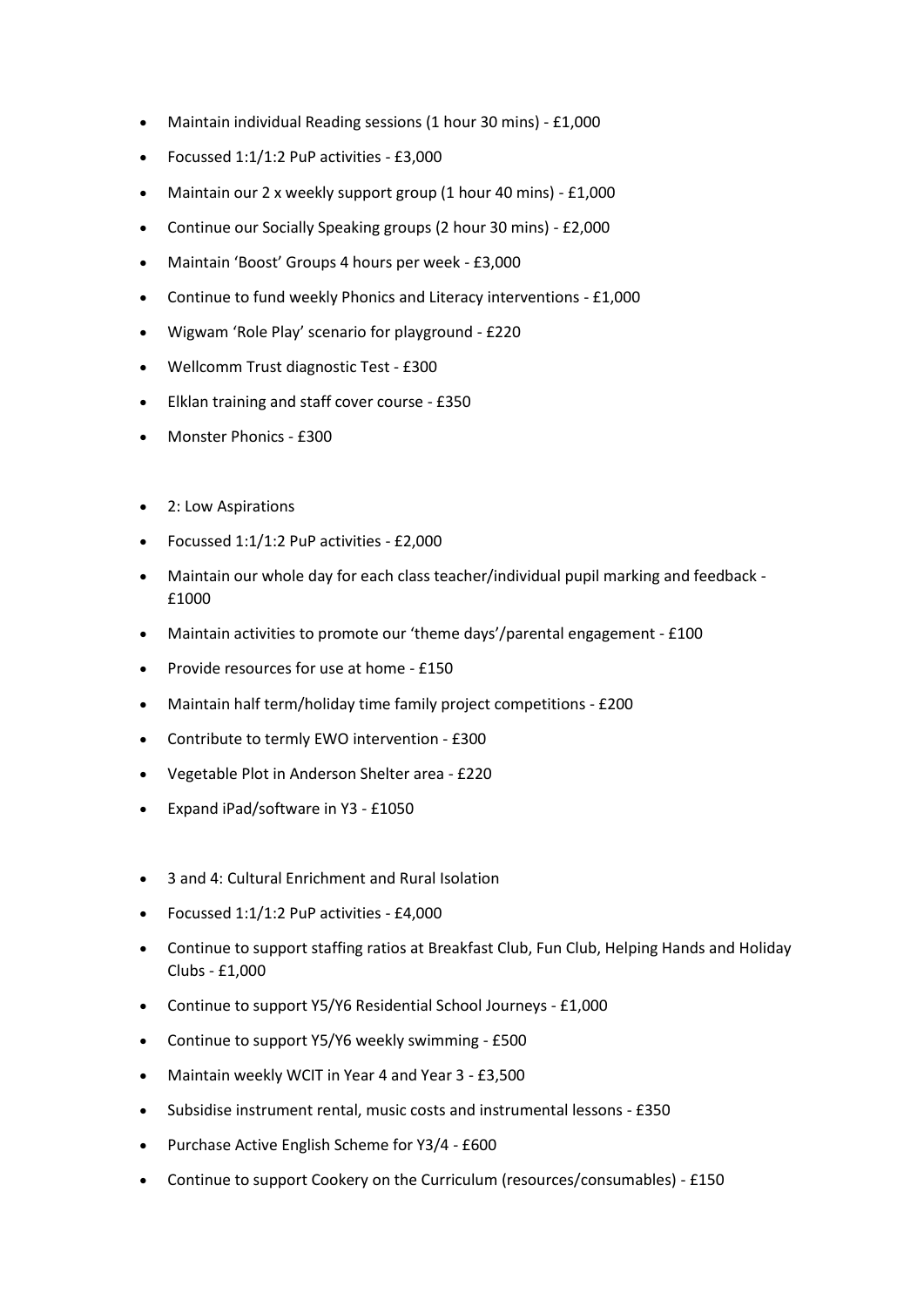- Maintain individual Reading sessions (1 hour 30 mins) £1,000
- Focussed 1:1/1:2 PuP activities £3,000
- Maintain our 2 x weekly support group (1 hour 40 mins) £1,000
- Continue our Socially Speaking groups (2 hour 30 mins) £2,000
- Maintain 'Boost' Groups 4 hours per week £3,000
- Continue to fund weekly Phonics and Literacy interventions £1,000
- Wigwam 'Role Play' scenario for playground £220
- Wellcomm Trust diagnostic Test £300
- Elklan training and staff cover course £350
- Monster Phonics £300
- 2: Low Aspirations
- Focussed 1:1/1:2 PuP activities £2,000
- Maintain our whole day for each class teacher/individual pupil marking and feedback £1000
- Maintain activities to promote our 'theme days'/parental engagement £100
- Provide resources for use at home £150
- Maintain half term/holiday time family project competitions £200
- Contribute to termly EWO intervention £300
- Vegetable Plot in Anderson Shelter area £220
- Expand iPad/software in Y3 £1050
- 3 and 4: Cultural Enrichment and Rural Isolation
- Focussed 1:1/1:2 PuP activities £4,000
- Continue to support staffing ratios at Breakfast Club, Fun Club, Helping Hands and Holiday Clubs - £1,000
- Continue to support Y5/Y6 Residential School Journeys £1,000
- Continue to support Y5/Y6 weekly swimming £500
- Maintain weekly WCIT in Year 4 and Year 3 £3,500
- Subsidise instrument rental, music costs and instrumental lessons £350
- Purchase Active English Scheme for Y3/4 £600
- Continue to support Cookery on the Curriculum (resources/consumables) £150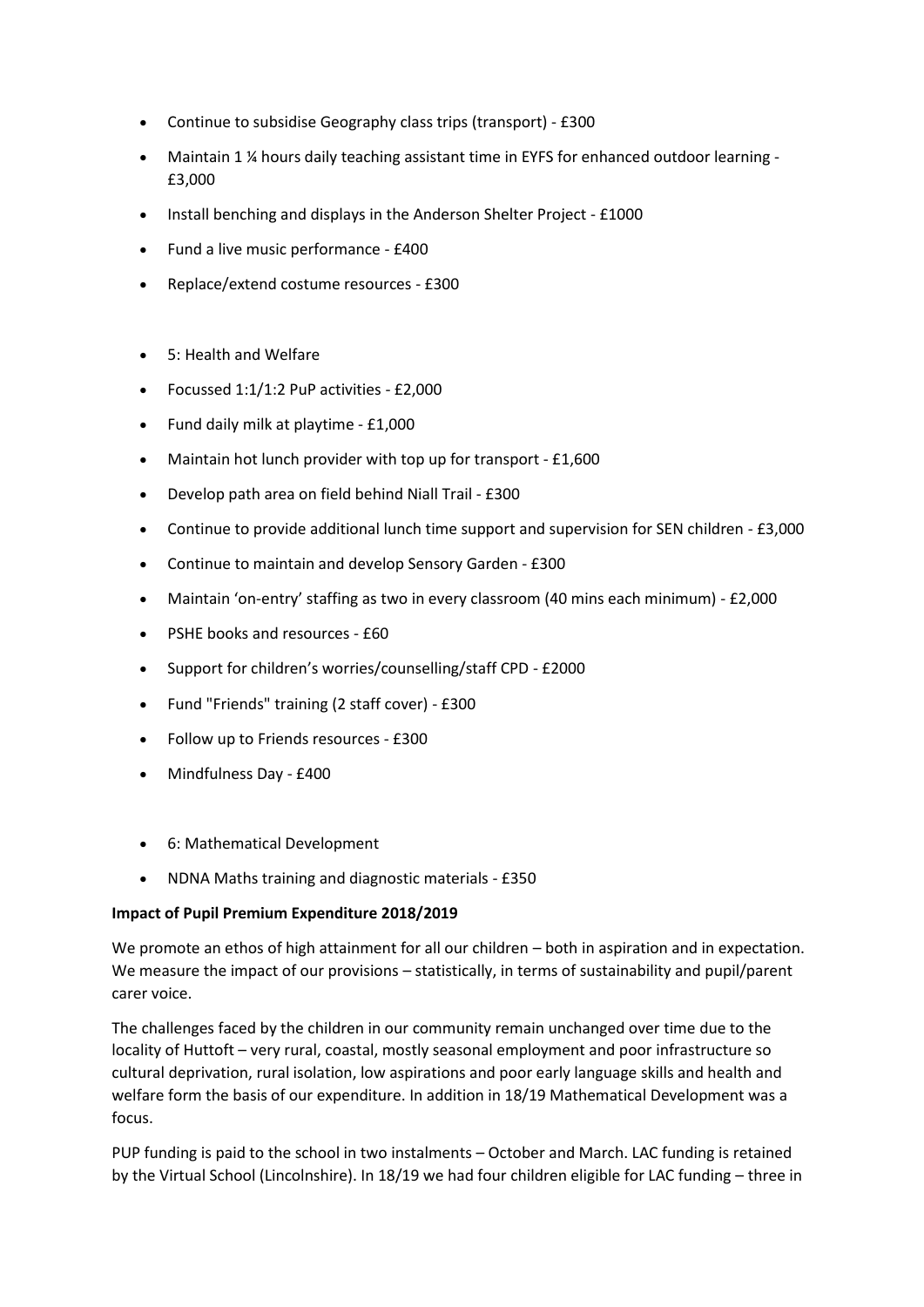- Continue to subsidise Geography class trips (transport) £300
- Maintain 1 ¼ hours daily teaching assistant time in EYFS for enhanced outdoor learning £3,000
- Install benching and displays in the Anderson Shelter Project £1000
- Fund a live music performance £400
- Replace/extend costume resources £300
- 5: Health and Welfare
- Focussed 1:1/1:2 PuP activities £2,000
- Fund daily milk at playtime £1,000
- Maintain hot lunch provider with top up for transport £1,600
- Develop path area on field behind Niall Trail £300
- Continue to provide additional lunch time support and supervision for SEN children £3,000
- Continue to maintain and develop Sensory Garden £300
- Maintain 'on-entry' staffing as two in every classroom (40 mins each minimum) £2,000
- PSHE books and resources £60
- Support for children's worries/counselling/staff CPD £2000
- Fund "Friends" training (2 staff cover) £300
- Follow up to Friends resources £300
- Mindfulness Day £400
- 6: Mathematical Development
- NDNA Maths training and diagnostic materials £350

## **Impact of Pupil Premium Expenditure 2018/2019**

We promote an ethos of high attainment for all our children – both in aspiration and in expectation. We measure the impact of our provisions – statistically, in terms of sustainability and pupil/parent carer voice.

The challenges faced by the children in our community remain unchanged over time due to the locality of Huttoft – very rural, coastal, mostly seasonal employment and poor infrastructure so cultural deprivation, rural isolation, low aspirations and poor early language skills and health and welfare form the basis of our expenditure. In addition in 18/19 Mathematical Development was a focus.

PUP funding is paid to the school in two instalments – October and March. LAC funding is retained by the Virtual School (Lincolnshire). In 18/19 we had four children eligible for LAC funding – three in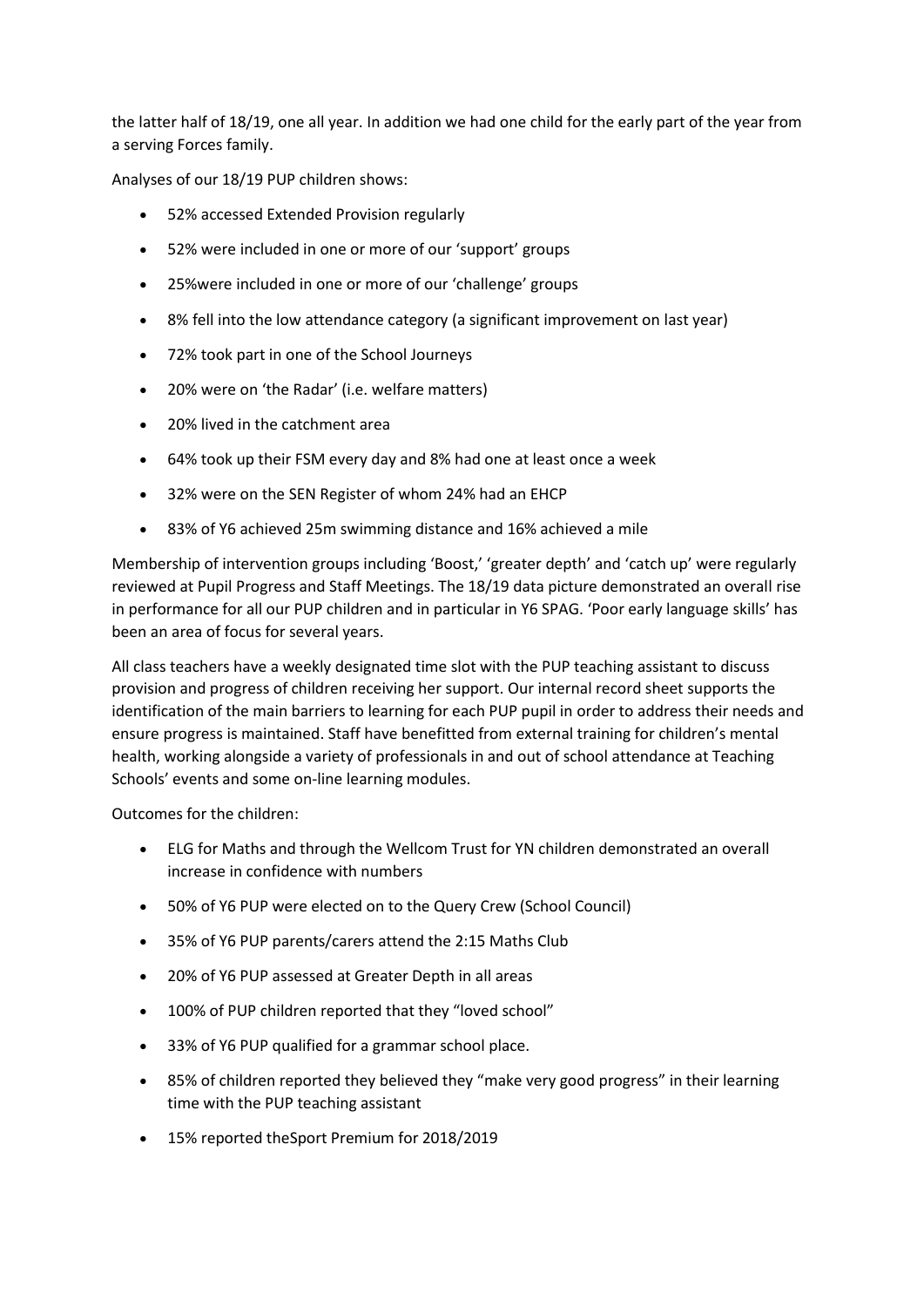the latter half of 18/19, one all year. In addition we had one child for the early part of the year from a serving Forces family.

Analyses of our 18/19 PUP children shows:

- 52% accessed Extended Provision regularly
- 52% were included in one or more of our 'support' groups
- 25%were included in one or more of our 'challenge' groups
- 8% fell into the low attendance category (a significant improvement on last year)
- 72% took part in one of the School Journeys
- 20% were on 'the Radar' (i.e. welfare matters)
- 20% lived in the catchment area
- 64% took up their FSM every day and 8% had one at least once a week
- 32% were on the SEN Register of whom 24% had an EHCP
- 83% of Y6 achieved 25m swimming distance and 16% achieved a mile

Membership of intervention groups including 'Boost,' 'greater depth' and 'catch up' were regularly reviewed at Pupil Progress and Staff Meetings. The 18/19 data picture demonstrated an overall rise in performance for all our PUP children and in particular in Y6 SPAG. 'Poor early language skills' has been an area of focus for several years.

All class teachers have a weekly designated time slot with the PUP teaching assistant to discuss provision and progress of children receiving her support. Our internal record sheet supports the identification of the main barriers to learning for each PUP pupil in order to address their needs and ensure progress is maintained. Staff have benefitted from external training for children's mental health, working alongside a variety of professionals in and out of school attendance at Teaching Schools' events and some on-line learning modules.

Outcomes for the children:

- ELG for Maths and through the Wellcom Trust for YN children demonstrated an overall increase in confidence with numbers
- 50% of Y6 PUP were elected on to the Query Crew (School Council)
- 35% of Y6 PUP parents/carers attend the 2:15 Maths Club
- 20% of Y6 PUP assessed at Greater Depth in all areas
- 100% of PUP children reported that they "loved school"
- 33% of Y6 PUP qualified for a grammar school place.
- 85% of children reported they believed they "make very good progress" in their learning time with the PUP teaching assistant
- 15% reported theSport Premium for 2018/2019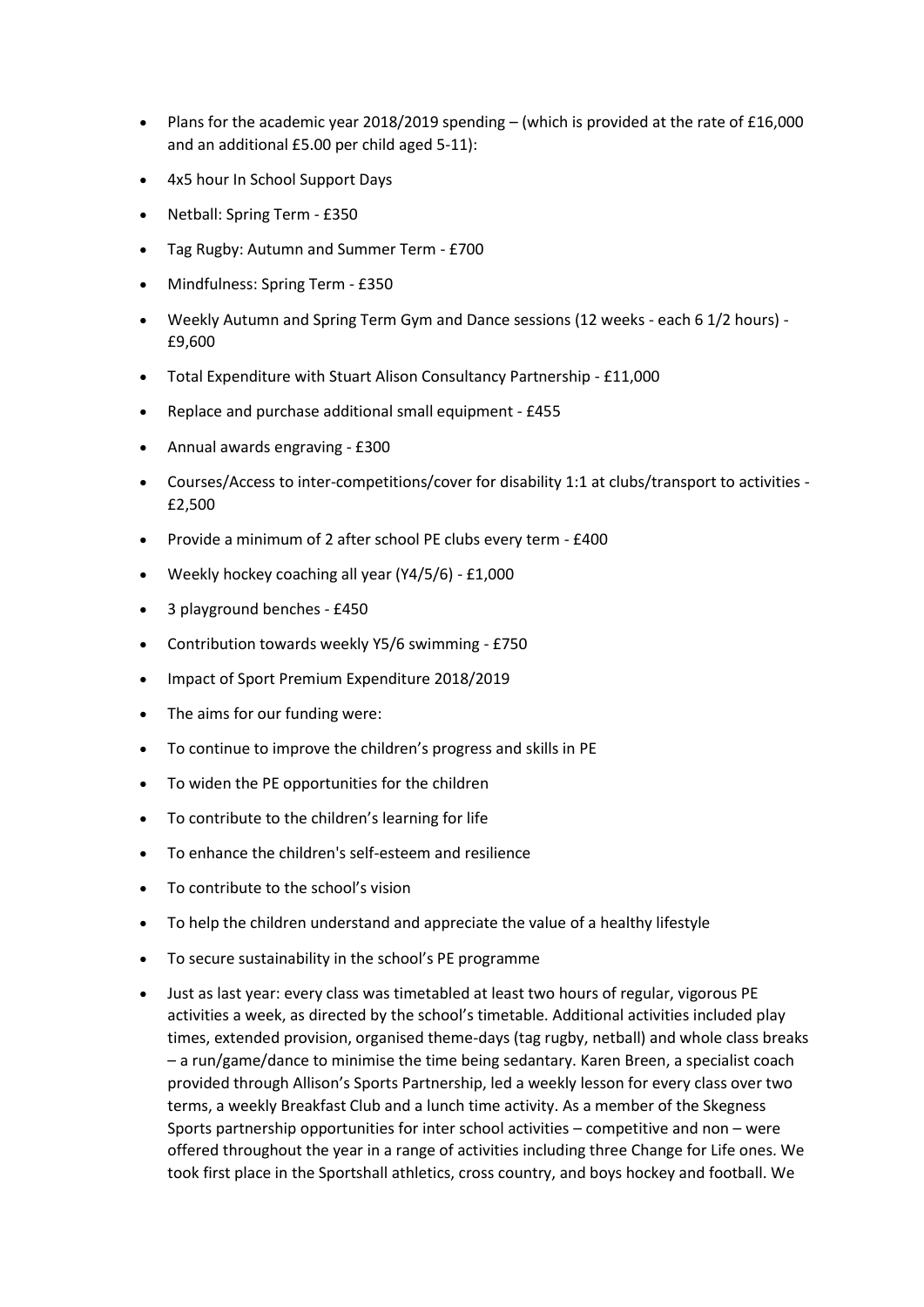- Plans for the academic year 2018/2019 spending (which is provided at the rate of £16,000 and an additional £5.00 per child aged 5-11):
- 4x5 hour In School Support Days
- Netball: Spring Term £350
- Tag Rugby: Autumn and Summer Term £700
- Mindfulness: Spring Term £350
- Weekly Autumn and Spring Term Gym and Dance sessions (12 weeks each 6 1/2 hours) £9,600
- Total Expenditure with Stuart Alison Consultancy Partnership £11,000
- Replace and purchase additional small equipment £455
- Annual awards engraving £300
- Courses/Access to inter-competitions/cover for disability 1:1 at clubs/transport to activities £2,500
- Provide a minimum of 2 after school PE clubs every term £400
- Weekly hockey coaching all year (Y4/5/6) £1,000
- 3 playground benches £450
- Contribution towards weekly Y5/6 swimming £750
- Impact of Sport Premium Expenditure 2018/2019
- The aims for our funding were:
- To continue to improve the children's progress and skills in PE
- To widen the PE opportunities for the children
- To contribute to the children's learning for life
- To enhance the children's self-esteem and resilience
- To contribute to the school's vision
- To help the children understand and appreciate the value of a healthy lifestyle
- To secure sustainability in the school's PE programme
- Just as last year: every class was timetabled at least two hours of regular, vigorous PE activities a week, as directed by the school's timetable. Additional activities included play times, extended provision, organised theme-days (tag rugby, netball) and whole class breaks – a run/game/dance to minimise the time being sedantary. Karen Breen, a specialist coach provided through Allison's Sports Partnership, led a weekly lesson for every class over two terms, a weekly Breakfast Club and a lunch time activity. As a member of the Skegness Sports partnership opportunities for inter school activities – competitive and non – were offered throughout the year in a range of activities including three Change for Life ones. We took first place in the Sportshall athletics, cross country, and boys hockey and football. We